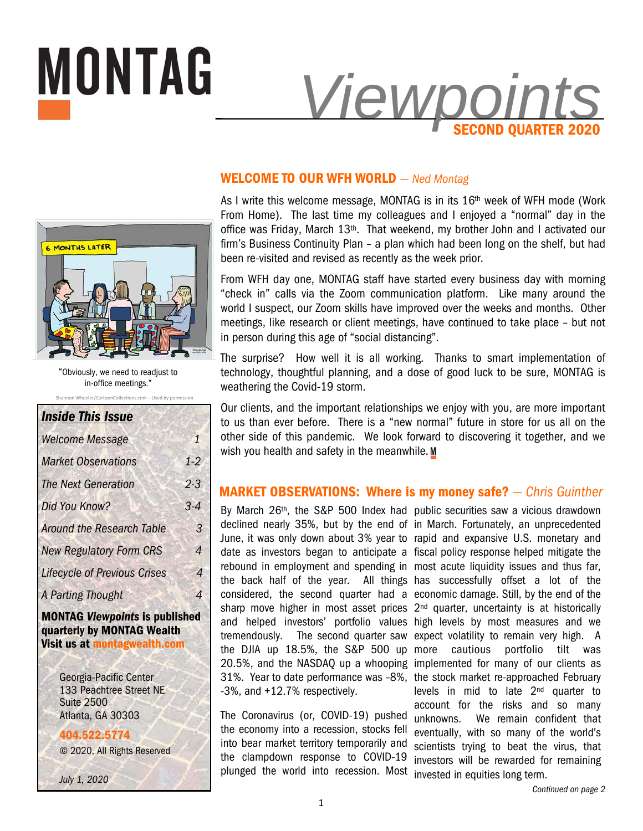

# **WELCOME TO OUR WFH WORLD** *— Ned Montag*

As I write this welcome message, MONTAG is in its  $16<sup>th</sup>$  week of WFH mode (Work From Home). The last time my colleagues and I enjoyed a "normal" day in the office was Friday, March 13<sup>th</sup>. That weekend, my brother John and I activated our firm's Business Continuity Plan – a plan which had been long on the shelf, but had been re-visited and revised as recently as the week prior.

From WFH day one, MONTAG staff have started every business day with morning "check in" calls via the Zoom communication platform. Like many around the world I suspect, our Zoom skills have improved over the weeks and months. Other meetings, like research or client meetings, have continued to take place – but not in person during this age of "social distancing".

The surprise? How well it is all working. Thanks to smart implementation of technology, thoughtful planning, and a dose of good luck to be sure, MONTAG is weathering the Covid-19 storm.

Our clients, and the important relationships we enjoy with you, are more important to us than ever before. There is a "new normal" future in store for us all on the other side of this pandemic. We look forward to discovering it together, and we wish you health and safety in the meanwhile. M

# **MARKET OBSERVATIONS: Where is my money safe?** *— Chris Guinther*

By March 26<sup>th</sup>, the S&P 500 Index had public securities saw a vicious drawdown -3%, and +12.7% respectively.

The Coronavirus (or, COVID-19) pushed the economy into a recession, stocks fell into bear market territory temporarily and the clampdown response to COVID-19 plunged the world into recession. Most invested in equities long term.

declined nearly 35%, but by the end of in March. Fortunately, an unprecedented June, it was only down about 3% year to rapid and expansive U.S. monetary and date as investors began to anticipate a fiscal policy response helped mitigate the rebound in employment and spending in most acute liquidity issues and thus far, the back half of the year. All things has successfully offset a lot of the considered, the second quarter had a economic damage. Still, by the end of the sharp move higher in most asset prices 2<sup>nd</sup> quarter, uncertainty is at historically and helped investors' portfolio values high levels by most measures and we tremendously. The second quarter saw expect volatility to remain very high. A the DJIA up 18.5%, the S&P 500 up more cautious portfolio tilt was 20.5%, and the NASDAQ up a whooping implemented for many of our clients as 31%. Year to date performance was –8%, the stock market re-approached February levels in mid to late 2nd quarter to account for the risks and so many unknowns. We remain confident that eventually, with so many of the world's scientists trying to beat the virus, that investors will be rewarded for remaining



**MONTAG** 

n Wheeler/CartoonCollections.com—Used by pe "Obviously, we need to readjust to in-office meetings."

| <b>Inside This Issue</b>                                            |       |
|---------------------------------------------------------------------|-------|
| <b>Welcome Message</b>                                              | 1     |
| <b>Market Observations</b>                                          | $1-2$ |
| <b>The Next Generation</b>                                          | 2.3   |
| Did You Know?                                                       | $3-4$ |
| <b>Around the Research Table</b>                                    | 3     |
| <b>New Regulatory Form CRS</b>                                      | 4     |
| <b>Lifecycle of Previous Crises</b>                                 | 4     |
| A Parting Thought                                                   | 4     |
| <b>MONTAG Viewpoints is published</b><br>quarterly by MONTAG Wealth |       |

**quarterly by MONTAG Wealth Visit us at montagwealth.com** 

> Georgia-Pacific Center 133 Peachtree Street NE Suite 2500 Atlanta, GA 30303

**404.522.5774** © 2020, All Rights Reserved

*July 1, 2020*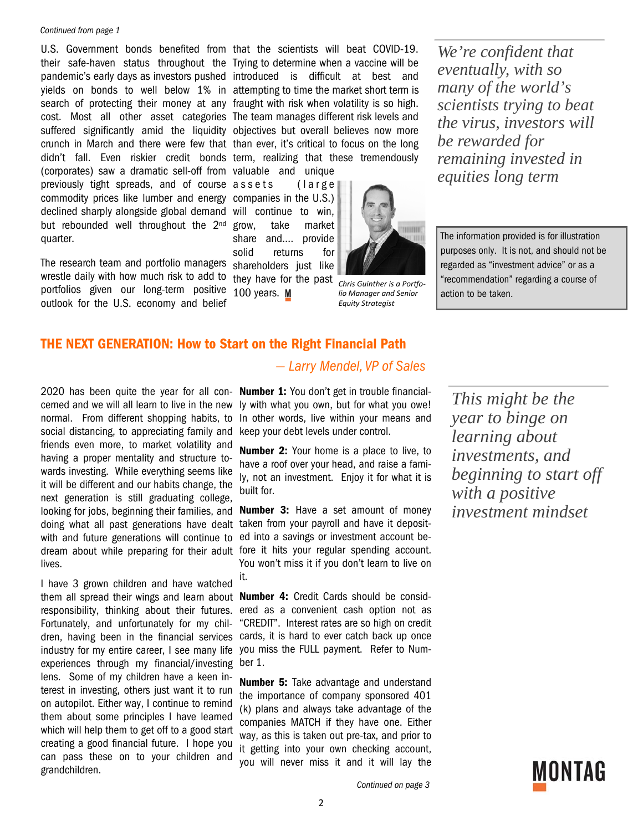#### *Continued from page 1*

their safe-haven status throughout the Trying to determine when a vaccine will be pandemic's early days as investors pushed introduced is difficult at best and yields on bonds to well below 1% in attempting to time the market short term is search of protecting their money at any fraught with risk when volatility is so high. cost. Most all other asset categories The team manages different risk levels and suffered significantly amid the liquidity objectives but overall believes now more crunch in March and there were few that than ever, it's critical to focus on the long didn't fall. Even riskier credit bonds term, realizing that these tremendously (corporates) saw a dramatic sell-off from valuable and unique previously tight spreads, and of course assets (large commodity prices like lumber and energy companies in the U.S.) declined sharply alongside global demand will continue to win, but rebounded well throughout the 2<sup>nd</sup> quarter.

The research team and portfolio managers wrestle daily with how much risk to add to portfolios given our long-term positive outlook for the U.S. economy and belief

U.S. Government bonds benefited from that the scientists will beat COVID-19.

grow, take market share and…. provide solid returns for shareholders just like

they have for the past 100 years. M

*Chris Guinther is a Porƞolio Manager and Senior Equity Strategist* 

mm

*We're confident that eventually, with so many of the world's scientists trying to beat the virus, investors will be rewarded for remaining invested in equities long term* 

The information provided is for illustration purposes only. It is not, and should not be regarded as "investment advice" or as a "recommendation" regarding a course of action to be taken.

## **THE NEXT GENERATION: How to Start on the Right Financial Path**

2020 has been quite the year for all con-**Number 1:** You don't get in trouble financialcerned and we will all learn to live in the new normal. From different shopping habits, to social distancing, to appreciating family and friends even more, to market volatility and having a proper mentality and structure towards investing. While everything seems like it will be different and our habits change, the next generation is still graduating college, looking for jobs, beginning their families, and doing what all past generations have dealt with and future generations will continue to lives.

I have 3 grown children and have watched them all spread their wings and learn about **Number 4:** Credit Cards should be considresponsibility, thinking about their futures. Fortunately, and unfortunately for my children, having been in the financial services industry for my entire career, I see many life experiences through my financial/investing lens. Some of my children have a keen interest in investing, others just want it to run on autopilot. Either way, I continue to remind them about some principles I have learned which will help them to get off to a good start creating a good financial future. I hope you can pass these on to your children and grandchildren.

# *— Larry Mendel, VP of Sales*

ly with what you own, but for what you owe! In other words, live within your means and keep your debt levels under control.

**Number 2:** Your home is a place to live, to have a roof over your head, and raise a family, not an investment. Enjoy it for what it is built for.

dream about while preparing for their adult fore it hits your regular spending account. **Number 3:** Have a set amount of money taken from your payroll and have it deposited into a savings or investment account be-You won't miss it if you don't learn to live on it.

> ered as a convenient cash option not as "CREDIT". Interest rates are so high on credit cards, it is hard to ever catch back up once you miss the FULL payment. Refer to Number 1.

> **Number 5:** Take advantage and understand the importance of company sponsored 401 (k) plans and always take advantage of the companies MATCH if they have one. Either way, as this is taken out pre-tax, and prior to it getting into your own checking account, you will never miss it and it will lay the

*This might be the year to binge on learning about investments, and beginning to start off with a positive investment mindset*

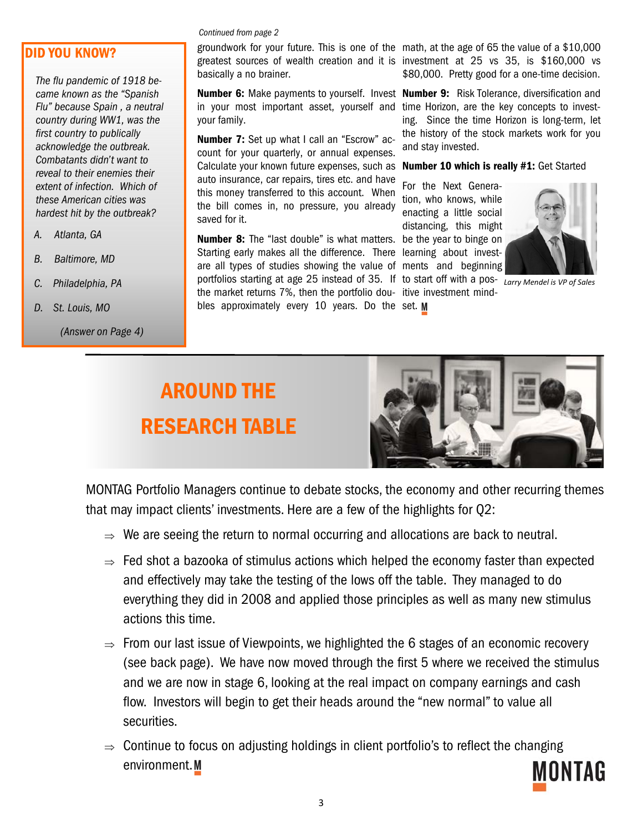# **DID YOU KNOW?**

*The flu pandemic of 1918 became known as the "Spanish Flu" because Spain , a neutral country during WW1, was the first country to publically acknowledge the outbreak. Combatants didn't want to reveal to their enemies their extent of infection. Which of these American cities was hardest hit by the outbreak?* 

- *A. Atlanta, GA*
- *B. Baltimore, MD*
- *C. Philadelphia, PA*
- *D. St. Louis, MO* 
	- *(Answer on Page 4)*

#### *Continued from page 2*

basically a no brainer.

**Number 6:** Make payments to yourself. Invest **Number 9:** Risk Tolerance, diversification and in your most important asset, yourself and time Horizon, are the key concepts to investyour family.

**Number 7:** Set up what I call an "Escrow" account for your quarterly, or annual expenses. Calculate your known future expenses, such as auto insurance, car repairs, tires etc. and have this money transferred to this account. When the bill comes in, no pressure, you already saved for it.

**Number 8:** The "last double" is what matters. be the year to binge on Starting early makes all the difference. There learning about investare all types of studies showing the value of ments and beginning portfolios starting at age 25 instead of 35. If to start off with a pos-*Larry Mendel is VP of Sales*  the market returns 7%, then the portfolio dou-itive investment mindbles approximately every 10 years. Do the set.

groundwork for your future. This is one of the math, at the age of 65 the value of a \$10,000 greatest sources of wealth creation and it is investment at 25 vs 35, is \$160,000 vs \$80,000. Pretty good for a one-time decision.

> ing. Since the time Horizon is long-term, let the history of the stock markets work for you and stay invested.

#### **Number 10 which is really #1:** Get Started

For the Next Generation, who knows, while enacting a little social distancing, this might



# **AROUND THE RESEARCH TABLE**



MONTAG Portfolio Managers continue to debate stocks, the economy and other recurring themes that may impact clients' investments. Here are a few of the highlights for Q2:

- $\Rightarrow$  We are seeing the return to normal occurring and allocations are back to neutral.
- $\Rightarrow$  Fed shot a bazooka of stimulus actions which helped the economy faster than expected and effectively may take the testing of the lows off the table. They managed to do everything they did in 2008 and applied those principles as well as many new stimulus actions this time.
- $\Rightarrow$  From our last issue of Viewpoints, we highlighted the 6 stages of an economic recovery (see back page). We have now moved through the first 5 where we received the stimulus and we are now in stage 6, looking at the real impact on company earnings and cash flow. Investors will begin to get their heads around the "new normal" to value all securities.
- $\Rightarrow$  Continue to focus on adjusting holdings in client portfolio's to reflect the changing environment.M MONTAG